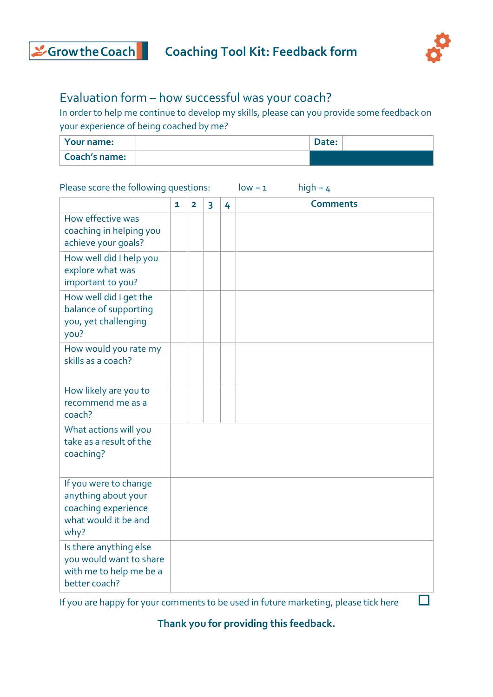



## Evaluation form – how successful was your coach?

In order to help me continue to develop my skills, please can you provide some feedback on your experience of being coached by me?

| Your name:    | Date: |  |
|---------------|-------|--|
| Coach's name: |       |  |

## Please score the following questions:  $low = 1$  high = 4

|                                                                                                     | 1 | $\overline{\mathbf{2}}$ | 3 | 4 | <b>Comments</b> |
|-----------------------------------------------------------------------------------------------------|---|-------------------------|---|---|-----------------|
| How effective was<br>coaching in helping you<br>achieve your goals?                                 |   |                         |   |   |                 |
| How well did I help you<br>explore what was<br>important to you?                                    |   |                         |   |   |                 |
| How well did I get the<br>balance of supporting<br>you, yet challenging<br>you?                     |   |                         |   |   |                 |
| How would you rate my<br>skills as a coach?                                                         |   |                         |   |   |                 |
| How likely are you to<br>recommend me as a<br>coach?                                                |   |                         |   |   |                 |
| What actions will you<br>take as a result of the<br>coaching?                                       |   |                         |   |   |                 |
| If you were to change<br>anything about your<br>coaching experience<br>what would it be and<br>why? |   |                         |   |   |                 |
| Is there anything else<br>you would want to share<br>with me to help me be a<br>better coach?       |   |                         |   |   |                 |

If you are happy for your comments to be used in future marketing, please tick here  $\Box$ 

**Thank you for providing this feedback.**